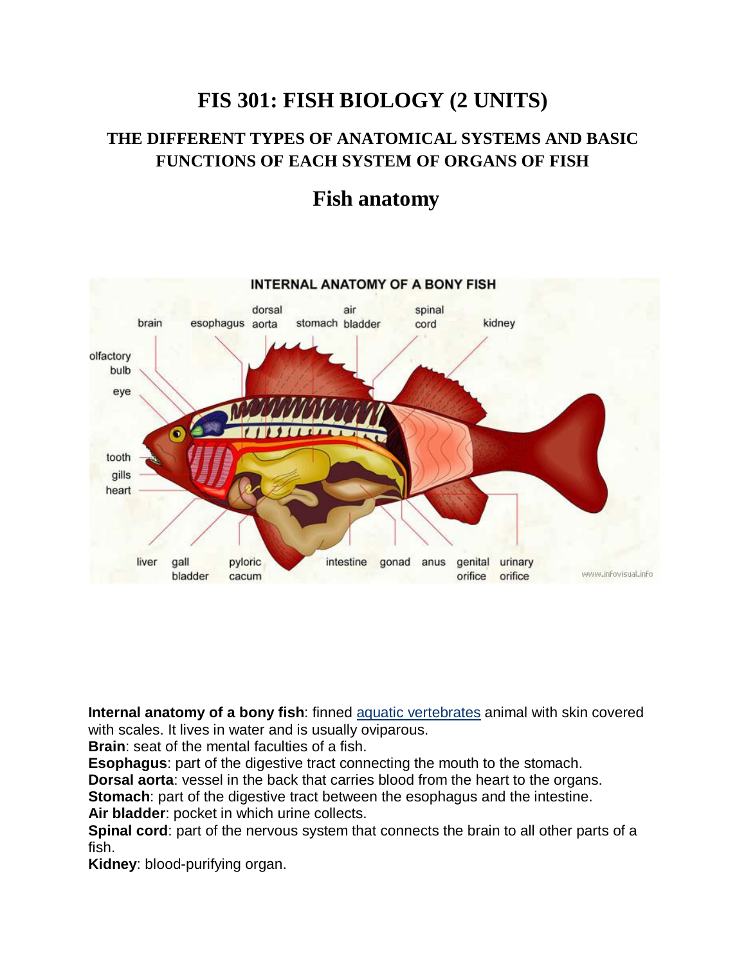## **FIS 301: FISH BIOLOGY (2 UNITS)**

### **THE DIFFERENT TYPES OF ANATOMICAL SYSTEMS AND BASIC FUNCTIONS OF EACH SYSTEM OF ORGANS OF FISH**

## **Fish anatomy**



**Internal anatomy of a bony fish**: finned aquatic vertebrates animal with skin covered with scales. It lives in water and is usually oviparous.

**Brain**: seat of the mental faculties of a fish.

**Esophagus**: part of the digestive tract connecting the mouth to the stomach.

**Dorsal aorta**: vessel in the back that carries blood from the heart to the organs.

**Stomach:** part of the digestive tract between the esophagus and the intestine.

**Air bladder**: pocket in which urine collects.

**Spinal cord**: part of the nervous system that connects the brain to all other parts of a fish.

**Kidney**: blood-purifying organ.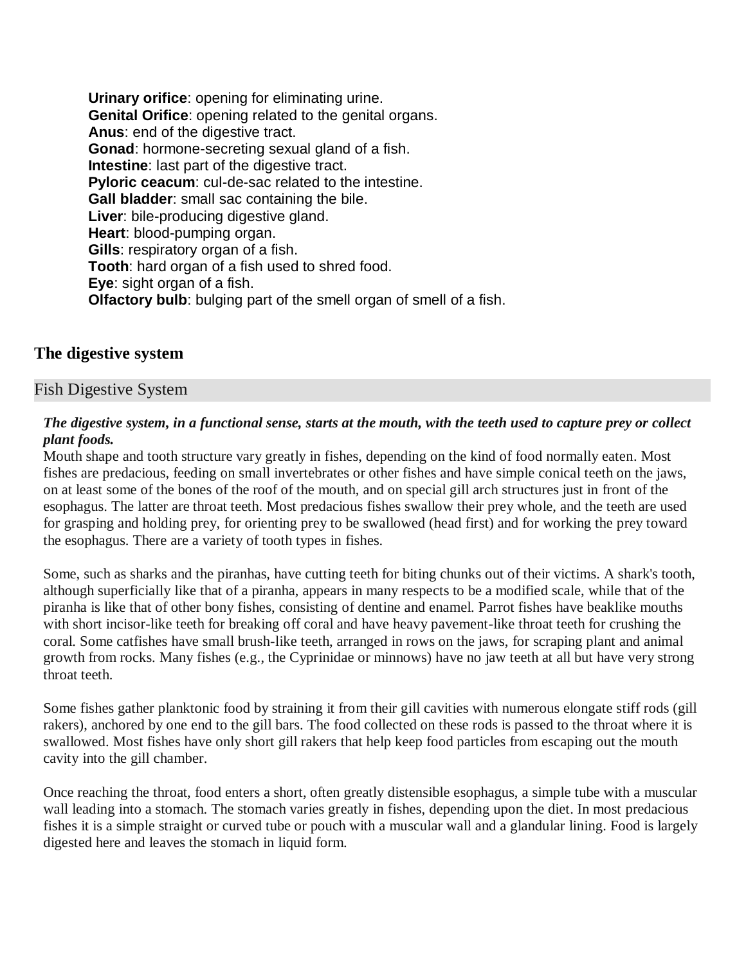**Urinary orifice**: opening for eliminating urine. **Genital Orifice**: opening related to the genital organs. **Anus**: end of the digestive tract. **Gonad**: hormone-secreting sexual gland of a fish. **Intestine**: last part of the digestive tract. **Pyloric ceacum**: cul-de-sac related to the intestine. **Gall bladder**: small sac containing the bile. **Liver**: bile-producing digestive gland. **Heart**: blood-pumping organ. **Gills**: respiratory organ of a fish. **Tooth**: hard organ of a fish used to shred food. **Eye**: sight organ of a fish. **Olfactory bulb**: bulging part of the smell organ of smell of a fish.

#### **The digestive system**

#### Fish Digestive System

#### *The digestive system, in a functional sense, starts at the mouth, with the teeth used to capture prey or collect plant foods.*

Mouth shape and tooth structure vary greatly in fishes, depending on the kind of food normally eaten. Most fishes are predacious, feeding on small invertebrates or other fishes and have simple conical teeth on the jaws, on at least some of the bones of the roof of the mouth, and on special gill arch structures just in front of the esophagus. The latter are throat teeth. Most predacious fishes swallow their prey whole, and the teeth are used for grasping and holding prey, for orienting prey to be swallowed (head first) and for working the prey toward the esophagus. There are a variety of tooth types in fishes.

Some, such as sharks and the piranhas, have cutting teeth for biting chunks out of their victims. A shark's tooth, although superficially like that of a piranha, appears in many respects to be a modified scale, while that of the piranha is like that of other bony fishes, consisting of dentine and enamel. Parrot fishes have beaklike mouths with short incisor-like teeth for breaking off coral and have heavy pavement-like throat teeth for crushing the coral. Some catfishes have small brush-like teeth, arranged in rows on the jaws, for scraping plant and animal growth from rocks. Many fishes (e.g., the Cyprinidae or minnows) have no jaw teeth at all but have very strong throat teeth.

Some fishes gather planktonic food by straining it from their gill cavities with numerous elongate stiff rods (gill rakers), anchored by one end to the gill bars. The food collected on these rods is passed to the throat where it is swallowed. Most fishes have only short gill rakers that help keep food particles from escaping out the mouth cavity into the gill chamber.

Once reaching the throat, food enters a short, often greatly distensible esophagus, a simple tube with a muscular wall leading into a stomach. The stomach varies greatly in fishes, depending upon the diet. In most predacious fishes it is a simple straight or curved tube or pouch with a muscular wall and a glandular lining. Food is largely digested here and leaves the stomach in liquid form.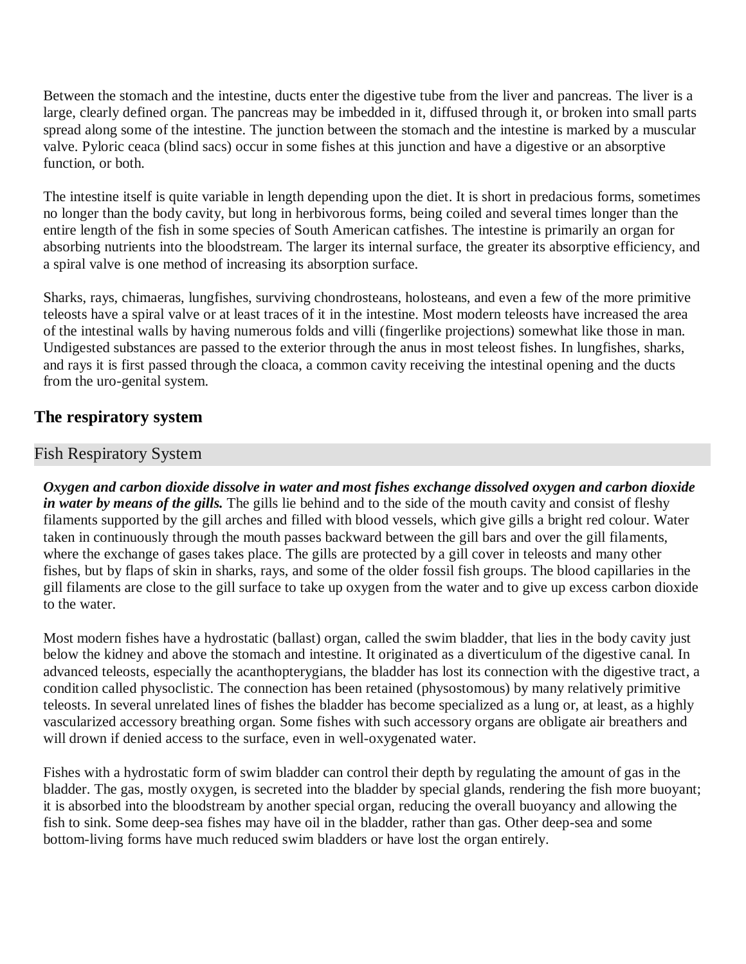Between the stomach and the intestine, ducts enter the digestive tube from the liver and pancreas. The liver is a large, clearly defined organ. The pancreas may be imbedded in it, diffused through it, or broken into small parts spread along some of the intestine. The junction between the stomach and the intestine is marked by a muscular valve. Pyloric ceaca (blind sacs) occur in some fishes at this junction and have a digestive or an absorptive function, or both.

The intestine itself is quite variable in length depending upon the diet. It is short in predacious forms, sometimes no longer than the body cavity, but long in herbivorous forms, being coiled and several times longer than the entire length of the fish in some species of South American catfishes. The intestine is primarily an organ for absorbing nutrients into the bloodstream. The larger its internal surface, the greater its absorptive efficiency, and a spiral valve is one method of increasing its absorption surface.

Sharks, rays, chimaeras, lungfishes, surviving chondrosteans, holosteans, and even a few of the more primitive teleosts have a spiral valve or at least traces of it in the intestine. Most modern teleosts have increased the area of the intestinal walls by having numerous folds and villi (fingerlike projections) somewhat like those in man. Undigested substances are passed to the exterior through the anus in most teleost fishes. In lungfishes, sharks, and rays it is first passed through the cloaca, a common cavity receiving the intestinal opening and the ducts from the uro-genital system.

#### **The respiratory system**

#### Fish Respiratory System

*Oxygen and carbon dioxide dissolve in water and most fishes exchange dissolved oxygen and carbon dioxide in water by means of the gills.* The gills lie behind and to the side of the mouth cavity and consist of fleshy filaments supported by the gill arches and filled with blood vessels, which give gills a bright red colour. Water taken in continuously through the mouth passes backward between the gill bars and over the gill filaments, where the exchange of gases takes place. The gills are protected by a gill cover in teleosts and many other fishes, but by flaps of skin in sharks, rays, and some of the older fossil fish groups. The blood capillaries in the gill filaments are close to the gill surface to take up oxygen from the water and to give up excess carbon dioxide to the water.

Most modern fishes have a hydrostatic (ballast) organ, called the swim bladder, that lies in the body cavity just below the kidney and above the stomach and intestine. It originated as a diverticulum of the digestive canal. In advanced teleosts, especially the acanthopterygians, the bladder has lost its connection with the digestive tract, a condition called physoclistic. The connection has been retained (physostomous) by many relatively primitive teleosts. In several unrelated lines of fishes the bladder has become specialized as a lung or, at least, as a highly vascularized accessory breathing organ. Some fishes with such accessory organs are obligate air breathers and will drown if denied access to the surface, even in well-oxygenated water.

Fishes with a hydrostatic form of swim bladder can control their depth by regulating the amount of gas in the bladder. The gas, mostly oxygen, is secreted into the bladder by special glands, rendering the fish more buoyant; it is absorbed into the bloodstream by another special organ, reducing the overall buoyancy and allowing the fish to sink. Some deep-sea fishes may have oil in the bladder, rather than gas. Other deep-sea and some bottom-living forms have much reduced swim bladders or have lost the organ entirely.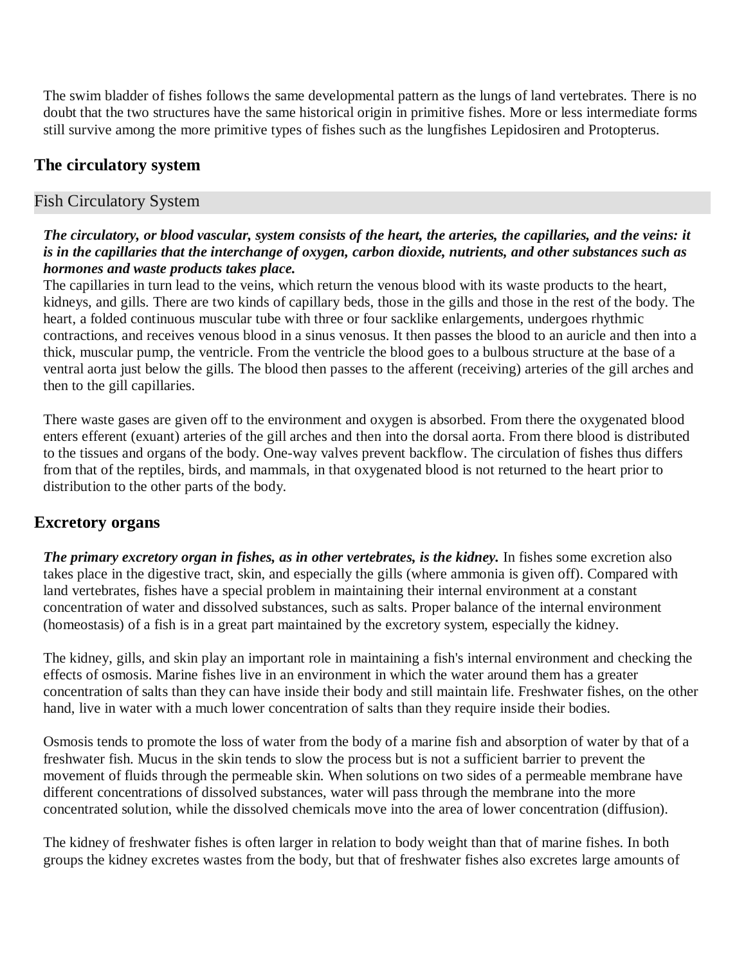The swim bladder of fishes follows the same developmental pattern as the lungs of land vertebrates. There is no doubt that the two structures have the same historical origin in primitive fishes. More or less intermediate forms still survive among the more primitive types of fishes such as the lungfishes Lepidosiren and Protopterus.

#### **The circulatory system**

#### Fish Circulatory System

#### *The circulatory, or blood vascular, system consists of the heart, the arteries, the capillaries, and the veins: it is in the capillaries that the interchange of oxygen, carbon dioxide, nutrients, and other substances such as hormones and waste products takes place.*

The capillaries in turn lead to the veins, which return the venous blood with its waste products to the heart, kidneys, and gills. There are two kinds of capillary beds, those in the gills and those in the rest of the body. The heart, a folded continuous muscular tube with three or four sacklike enlargements, undergoes rhythmic contractions, and receives venous blood in a sinus venosus. It then passes the blood to an auricle and then into a thick, muscular pump, the ventricle. From the ventricle the blood goes to a bulbous structure at the base of a ventral aorta just below the gills. The blood then passes to the afferent (receiving) arteries of the gill arches and then to the gill capillaries.

There waste gases are given off to the environment and oxygen is absorbed. From there the oxygenated blood enters efferent (exuant) arteries of the gill arches and then into the dorsal aorta. From there blood is distributed to the tissues and organs of the body. One-way valves prevent backflow. The circulation of fishes thus differs from that of the reptiles, birds, and mammals, in that oxygenated blood is not returned to the heart prior to distribution to the other parts of the body.

#### **Excretory organs**

*The primary excretory organ in fishes, as in other vertebrates, is the kidney.* In fishes some excretion also takes place in the digestive tract, skin, and especially the gills (where ammonia is given off). Compared with land vertebrates, fishes have a special problem in maintaining their internal environment at a constant concentration of water and dissolved substances, such as salts. Proper balance of the internal environment (homeostasis) of a fish is in a great part maintained by the excretory system, especially the kidney.

The kidney, gills, and skin play an important role in maintaining a fish's internal environment and checking the effects of osmosis. Marine fishes live in an environment in which the water around them has a greater concentration of salts than they can have inside their body and still maintain life. Freshwater fishes, on the other hand, live in water with a much lower concentration of salts than they require inside their bodies.

Osmosis tends to promote the loss of water from the body of a marine fish and absorption of water by that of a freshwater fish. Mucus in the skin tends to slow the process but is not a sufficient barrier to prevent the movement of fluids through the permeable skin. When solutions on two sides of a permeable membrane have different concentrations of dissolved substances, water will pass through the membrane into the more concentrated solution, while the dissolved chemicals move into the area of lower concentration (diffusion).

The kidney of freshwater fishes is often larger in relation to body weight than that of marine fishes. In both groups the kidney excretes wastes from the body, but that of freshwater fishes also excretes large amounts of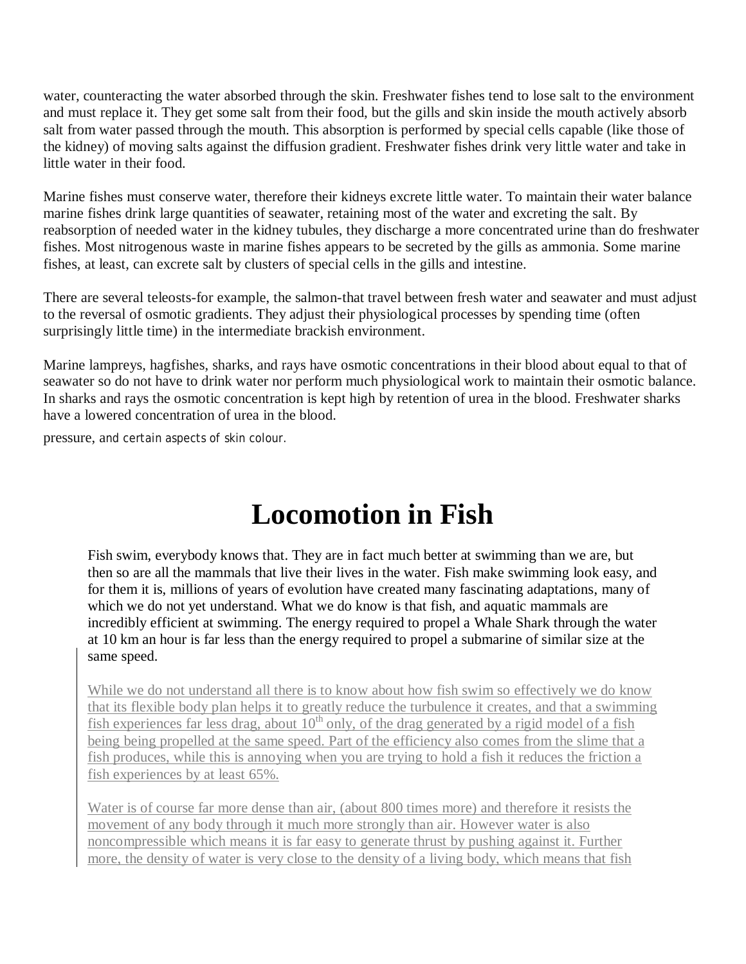water, counteracting the water absorbed through the skin. Freshwater fishes tend to lose salt to the environment and must replace it. They get some salt from their food, but the gills and skin inside the mouth actively absorb salt from water passed through the mouth. This absorption is performed by special cells capable (like those of the kidney) of moving salts against the diffusion gradient. Freshwater fishes drink very little water and take in little water in their food.

Marine fishes must conserve water, therefore their kidneys excrete little water. To maintain their water balance marine fishes drink large quantities of seawater, retaining most of the water and excreting the salt. By reabsorption of needed water in the kidney tubules, they discharge a more concentrated urine than do freshwater fishes. Most nitrogenous waste in marine fishes appears to be secreted by the gills as ammonia. Some marine fishes, at least, can excrete salt by clusters of special cells in the gills and intestine.

There are several teleosts-for example, the salmon-that travel between fresh water and seawater and must adjust to the reversal of osmotic gradients. They adjust their physiological processes by spending time (often surprisingly little time) in the intermediate brackish environment.

Marine lampreys, hagfishes, sharks, and rays have osmotic concentrations in their blood about equal to that of seawater so do not have to drink water nor perform much physiological work to maintain their osmotic balance. In sharks and rays the osmotic concentration is kept high by retention of urea in the blood. Freshwater sharks have a lowered concentration of urea in the blood.

pressure, and certain aspects of skin colour.

# **Locomotion in Fish**

Fish swim, everybody knows that. They are in fact much better at swimming than we are, but then so are all the mammals that live their lives in the water. Fish make swimming look easy, and for them it is, millions of years of evolution have created many fascinating adaptations, many of which we do not yet understand. What we do know is that fish, and aquatic mammals are incredibly efficient at swimming. The energy required to propel a Whale Shark through the water at 10 km an hour is far less than the energy required to propel a submarine of similar size at the same speed.

While we do not understand all there is to know about how fish swim so effectively we do know that its flexible body plan helps it to greatly reduce the turbulence it creates, and that a swimming fish experiences far less drag, about  $10^{th}$  only, of the drag generated by a rigid model of a fish being being propelled at the same speed. Part of the efficiency also comes from the slime that a fish produces, while this is annoying when you are trying to hold a fish it reduces the friction a fish experiences by at least 65%.

Water is of course far more dense than air, (about 800 times more) and therefore it resists the movement of any body through it much more strongly than air. However water is also noncompressible which means it is far easy to generate thrust by pushing against it. Further more, the density of water is very close to the density of a living body, which means that fish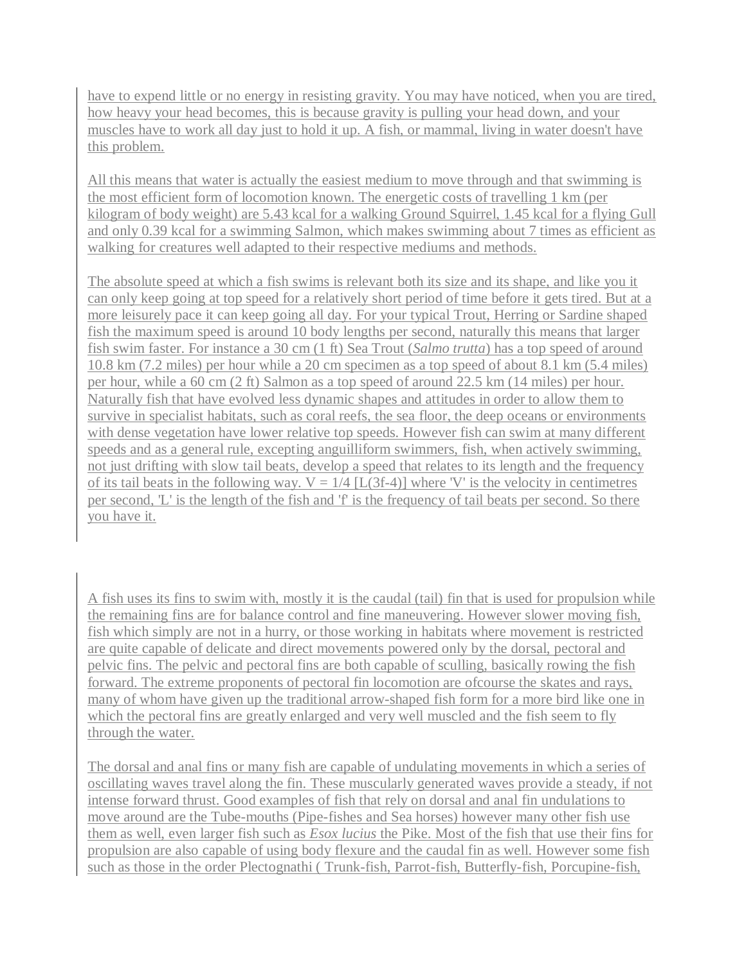have to expend little or no energy in resisting gravity. You may have noticed, when you are tired, how heavy your head becomes, this is because gravity is pulling your head down, and your muscles have to work all day just to hold it up. A fish, or mammal, living in water doesn't have this problem.

All this means that water is actually the easiest medium to move through and that swimming is the most efficient form of locomotion known. The energetic costs of travelling 1 km (per kilogram of body weight) are 5.43 kcal for a walking Ground Squirrel, 1.45 kcal for a flying Gull and only 0.39 kcal for a swimming Salmon, which makes swimming about 7 times as efficient as walking for creatures well adapted to their respective mediums and methods.

The absolute speed at which a fish swims is relevant both its size and its shape, and like you it can only keep going at top speed for a relatively short period of time before it gets tired. But at a more leisurely pace it can keep going all day. For your typical Trout, Herring or Sardine shaped fish the maximum speed is around 10 body lengths per second, naturally this means that larger fish swim faster. For instance a 30 cm (1 ft) Sea Trout (*Salmo trutta*) has a top speed of around 10.8 km (7.2 miles) per hour while a 20 cm specimen as a top speed of about 8.1 km (5.4 miles) per hour, while a 60 cm (2 ft) Salmon as a top speed of around 22.5 km (14 miles) per hour. Naturally fish that have evolved less dynamic shapes and attitudes in order to allow them to survive in specialist habitats, such as coral reefs, the sea floor, the deep oceans or environments with dense vegetation have lower relative top speeds. However fish can swim at many different speeds and as a general rule, excepting anguilliform swimmers, fish, when actively swimming, not just drifting with slow tail beats, develop a speed that relates to its length and the frequency of its tail beats in the following way.  $V = 1/4$  [L(3f-4)] where 'V' is the velocity in centimetres per second, 'L' is the length of the fish and 'f' is the frequency of tail beats per second. So there you have it.

A fish uses its fins to swim with, mostly it is the caudal (tail) fin that is used for propulsion while the remaining fins are for balance control and fine maneuvering. However slower moving fish, fish which simply are not in a hurry, or those working in habitats where movement is restricted are quite capable of delicate and direct movements powered only by the dorsal, pectoral and pelvic fins. The pelvic and pectoral fins are both capable of sculling, basically rowing the fish forward. The extreme proponents of pectoral fin locomotion are ofcourse the skates and rays, many of whom have given up the traditional arrow-shaped fish form for a more bird like one in which the pectoral fins are greatly enlarged and very well muscled and the fish seem to fly through the water.

The dorsal and anal fins or many fish are capable of undulating movements in which a series of oscillating waves travel along the fin. These muscularly generated waves provide a steady, if not intense forward thrust. Good examples of fish that rely on dorsal and anal fin undulations to move around are the Tube-mouths (Pipe-fishes and Sea horses) however many other fish use them as well, even larger fish such as *Esox lucius* the Pike. Most of the fish that use their fins for propulsion are also capable of using body flexure and the caudal fin as well. However some fish such as those in the order Plectognathi ( Trunk-fish, Parrot-fish, Butterfly-fish, Porcupine-fish,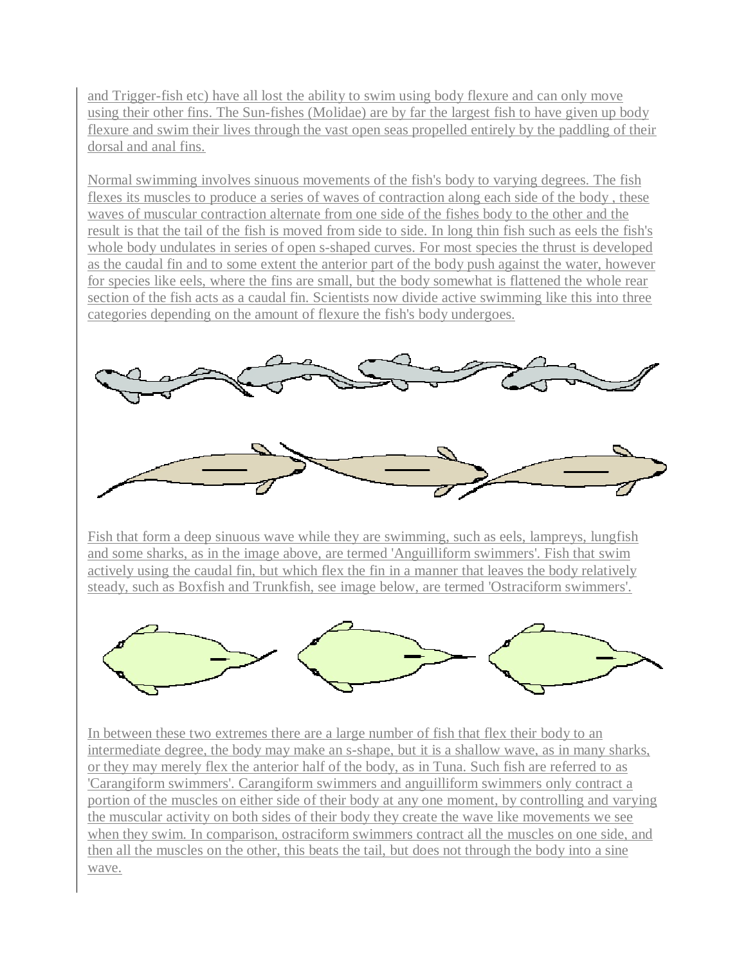and Trigger-fish etc) have all lost the ability to swim using body flexure and can only move using their other fins. The Sun-fishes (Molidae) are by far the largest fish to have given up body flexure and swim their lives through the vast open seas propelled entirely by the paddling of their dorsal and anal fins.

Normal swimming involves sinuous movements of the fish's body to varying degrees. The fish flexes its muscles to produce a series of waves of contraction along each side of the body , these waves of muscular contraction alternate from one side of the fishes body to the other and the result is that the tail of the fish is moved from side to side. In long thin fish such as eels the fish's whole body undulates in series of open s-shaped curves. For most species the thrust is developed as the caudal fin and to some extent the anterior part of the body push against the water, however for species like eels, where the fins are small, but the body somewhat is flattened the whole rear section of the fish acts as a caudal fin. Scientists now divide active swimming like this into three categories depending on the amount of flexure the fish's body undergoes.



Fish that form a deep sinuous wave while they are swimming, such as eels, lampreys, lungfish and some sharks, as in the image above, are termed 'Anguilliform swimmers'. Fish that swim actively using the caudal fin, but which flex the fin in a manner that leaves the body relatively steady, such as Boxfish and Trunkfish, see image below, are termed 'Ostraciform swimmers'.



In between these two extremes there are a large number of fish that flex their body to an intermediate degree, the body may make an s-shape, but it is a shallow wave, as in many sharks, or they may merely flex the anterior half of the body, as in Tuna. Such fish are referred to as 'Carangiform swimmers'. Carangiform swimmers and anguilliform swimmers only contract a portion of the muscles on either side of their body at any one moment, by controlling and varying the muscular activity on both sides of their body they create the wave like movements we see when they swim. In comparison, ostraciform swimmers contract all the muscles on one side, and then all the muscles on the other, this beats the tail, but does not through the body into a sine wave.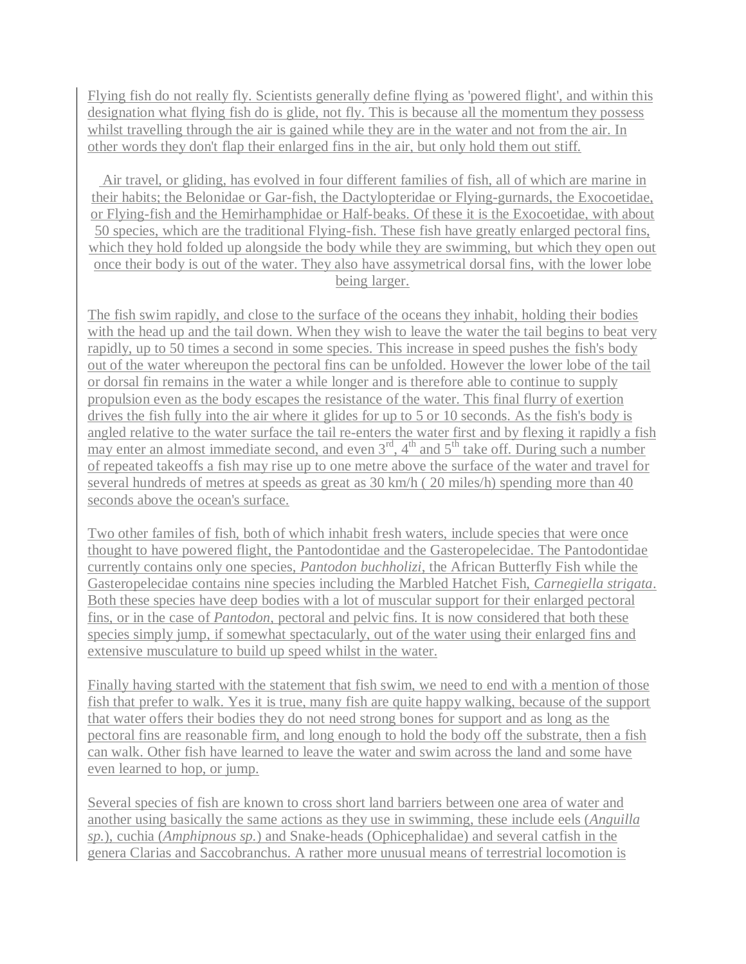Flying fish do not really fly. Scientists generally define flying as 'powered flight', and within this designation what flying fish do is glide, not fly. This is because all the momentum they possess whilst travelling through the air is gained while they are in the water and not from the air. In other words they don't flap their enlarged fins in the air, but only hold them out stiff.

Air travel, or gliding, has evolved in four different families of fish, all of which are marine in their habits; the Belonidae or Gar-fish, the Dactylopteridae or Flying-gurnards, the Exocoetidae, or Flying-fish and the Hemirhamphidae or Half-beaks. Of these it is the Exocoetidae, with about 50 species, which are the traditional Flying-fish. These fish have greatly enlarged pectoral fins, which they hold folded up alongside the body while they are swimming, but which they open out once their body is out of the water. They also have assymetrical dorsal fins, with the lower lobe being larger.

The fish swim rapidly, and close to the surface of the oceans they inhabit, holding their bodies with the head up and the tail down. When they wish to leave the water the tail begins to beat very rapidly, up to 50 times a second in some species. This increase in speed pushes the fish's body out of the water whereupon the pectoral fins can be unfolded. However the lower lobe of the tail or dorsal fin remains in the water a while longer and is therefore able to continue to supply propulsion even as the body escapes the resistance of the water. This final flurry of exertion drives the fish fully into the air where it glides for up to 5 or 10 seconds. As the fish's body is angled relative to the water surface the tail re-enters the water first and by flexing it rapidly a fish may enter an almost immediate second, and even  $3<sup>rd</sup>$ ,  $4<sup>th</sup>$  and  $5<sup>th</sup>$  take off. During such a number of repeated takeoffs a fish may rise up to one metre above the surface of the water and travel for several hundreds of metres at speeds as great as 30 km/h ( 20 miles/h) spending more than 40 seconds above the ocean's surface.

Two other familes of fish, both of which inhabit fresh waters, include species that were once thought to have powered flight, the Pantodontidae and the Gasteropelecidae. The Pantodontidae currently contains only one species, *Pantodon buchholizi*, the African Butterfly Fish while the Gasteropelecidae contains nine species including the Marbled Hatchet Fish, *Carnegiella strigata*. Both these species have deep bodies with a lot of muscular support for their enlarged pectoral fins, or in the case of *Pantodon*, pectoral and pelvic fins. It is now considered that both these species simply jump, if somewhat spectacularly, out of the water using their enlarged fins and extensive musculature to build up speed whilst in the water.

Finally having started with the statement that fish swim, we need to end with a mention of those fish that prefer to walk. Yes it is true, many fish are quite happy walking, because of the support that water offers their bodies they do not need strong bones for support and as long as the pectoral fins are reasonable firm, and long enough to hold the body off the substrate, then a fish can walk. Other fish have learned to leave the water and swim across the land and some have even learned to hop, or jump.

Several species of fish are known to cross short land barriers between one area of water and another using basically the same actions as they use in swimming, these include eels (*Anguilla sp.*), cuchia (*Amphipnous sp.*) and Snake-heads (Ophicephalidae) and several catfish in the genera Clarias and Saccobranchus. A rather more unusual means of terrestrial locomotion is